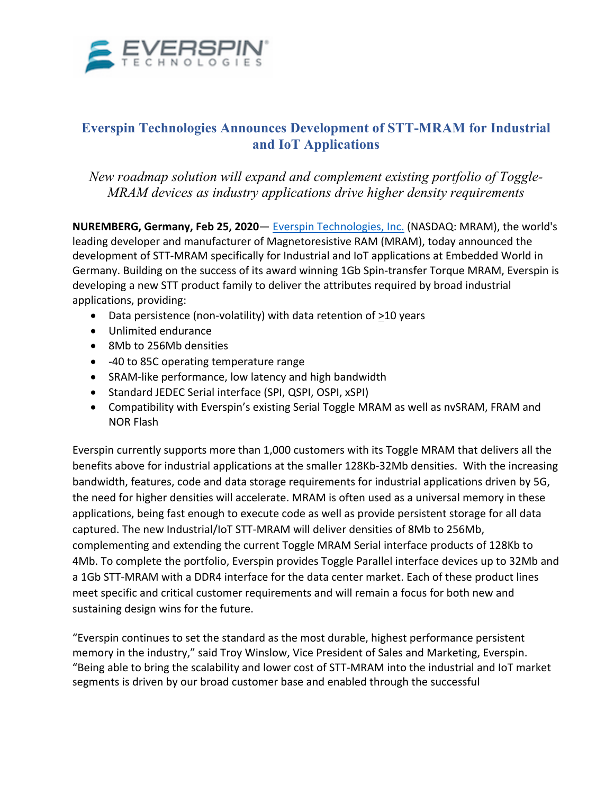

## **Everspin Technologies Announces Development of STT-MRAM for Industrial and IoT Applications**

*New roadmap solution will expand and complement existing portfolio of Toggle-MRAM devices as industry applications drive higher density requirements*

**NUREMBERG, Germany, Feb 25, 2020**— Everspin Technologies, Inc. (NASDAQ: MRAM), the world's leading developer and manufacturer of Magnetoresistive RAM (MRAM), today announced the development of STT-MRAM specifically for Industrial and IoT applications at Embedded World in Germany. Building on the success of its award winning 1Gb Spin-transfer Torque MRAM, Everspin is developing a new STT product family to deliver the attributes required by broad industrial applications, providing:

- Data persistence (non-volatility) with data retention of  $\geq$ 10 years
- Unlimited endurance
- 8Mb to 256Mb densities
- -40 to 85C operating temperature range
- SRAM-like performance, low latency and high bandwidth
- Standard JEDEC Serial interface (SPI, QSPI, OSPI, xSPI)
- Compatibility with Everspin's existing Serial Toggle MRAM as well as nvSRAM, FRAM and NOR Flash

Everspin currently supports more than 1,000 customers with its Toggle MRAM that delivers all the benefits above for industrial applications at the smaller 128Kb-32Mb densities. With the increasing bandwidth, features, code and data storage requirements for industrial applications driven by 5G, the need for higher densities will accelerate. MRAM is often used as a universal memory in these applications, being fast enough to execute code as well as provide persistent storage for all data captured. The new Industrial/IoT STT-MRAM will deliver densities of 8Mb to 256Mb, complementing and extending the current Toggle MRAM Serial interface products of 128Kb to 4Mb. To complete the portfolio, Everspin provides Toggle Parallel interface devices up to 32Mb and a 1Gb STT-MRAM with a DDR4 interface for the data center market. Each of these product lines meet specific and critical customer requirements and will remain a focus for both new and sustaining design wins for the future.

"Everspin continues to set the standard as the most durable, highest performance persistent memory in the industry," said Troy Winslow, Vice President of Sales and Marketing, Everspin. "Being able to bring the scalability and lower cost of STT-MRAM into the industrial and IoT market segments is driven by our broad customer base and enabled through the successful